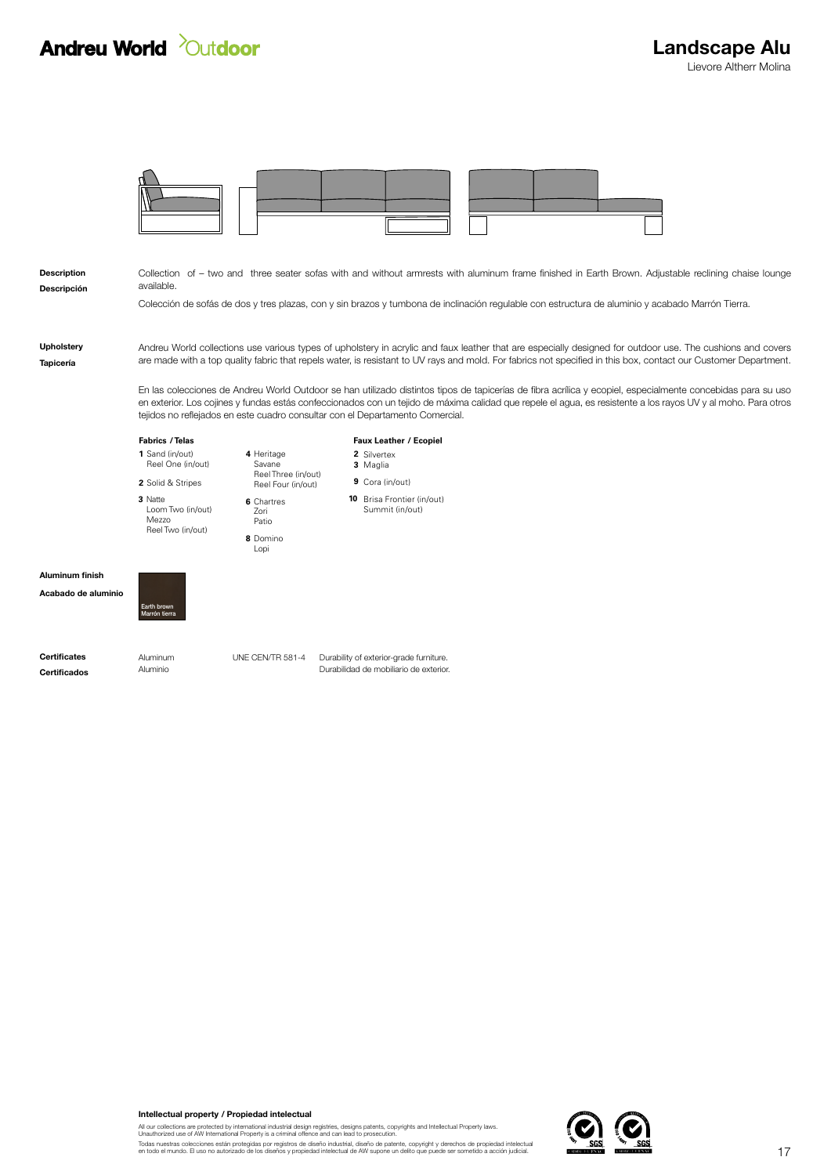## **Andreu World** *Outdoor*



| <b>Description</b><br>Descripción | Collection of – two and three seater sofas with and without armrests with aluminum frame finished in Earth Brown. Adjustable reclining chaise lounge<br>available.                                                                                                                                                                                                                                            |                                             |                                                                                                                                                  |
|-----------------------------------|---------------------------------------------------------------------------------------------------------------------------------------------------------------------------------------------------------------------------------------------------------------------------------------------------------------------------------------------------------------------------------------------------------------|---------------------------------------------|--------------------------------------------------------------------------------------------------------------------------------------------------|
|                                   |                                                                                                                                                                                                                                                                                                                                                                                                               |                                             | Colección de sofás de dos y tres plazas, con y sin brazos y tumbona de inclinación regulable con estructura de aluminio y acabado Marrón Tierra. |
| Upholstery<br>Tapicería           | Andreu World collections use various types of upholstery in acrylic and faux leather that are especially designed for outdoor use. The cushions and covers<br>are made with a top quality fabric that repels water, is resistant to UV rays and mold. For fabrics not specified in this box, contact our Customer Department.                                                                                 |                                             |                                                                                                                                                  |
|                                   | En las colecciones de Andreu World Outdoor se han utilizado distintos tipos de tapicerías de fibra acrílica y ecopiel, especialmente concebidas para su uso<br>en exterior. Los cojines y fundas estás confeccionados con un tejido de máxima calidad que repele el aqua, es resistente a los rayos UV y al moho. Para otros<br>tejidos no reflejados en este cuadro consultar con el Departamento Comercial. |                                             |                                                                                                                                                  |
|                                   | <b>Fabrics / Telas</b>                                                                                                                                                                                                                                                                                                                                                                                        |                                             | Faux Leather / Ecopiel                                                                                                                           |
|                                   | 1 Sand (in/out)<br>Reel One (in/out)                                                                                                                                                                                                                                                                                                                                                                          | 4 Heritage<br>Savane<br>Reel Three (in/out) | 2 Silvertex<br>3 Maglia                                                                                                                          |
|                                   | 2 Solid & Stripes                                                                                                                                                                                                                                                                                                                                                                                             | Reel Four (in/out)                          | 9 Cora (in/out)                                                                                                                                  |
|                                   | 3 Natte<br>Loom Two (in/out)<br>Mezzo<br>Reel Two (in/out)                                                                                                                                                                                                                                                                                                                                                    | 6 Chartres<br>Zori<br>Patio                 | 10 Brisa Frontier (in/out)<br>Summit (in/out)                                                                                                    |
|                                   |                                                                                                                                                                                                                                                                                                                                                                                                               | 8 Domino<br>Lopi                            |                                                                                                                                                  |
| <b>Aluminum finish</b>            |                                                                                                                                                                                                                                                                                                                                                                                                               |                                             |                                                                                                                                                  |
| Acabado de aluminio               | Earth brown<br>Marrón tierra                                                                                                                                                                                                                                                                                                                                                                                  |                                             |                                                                                                                                                  |
| <b>Certificates</b>               | Aluminum                                                                                                                                                                                                                                                                                                                                                                                                      | UNE CEN/TR 581-4                            | Durability of exterior-grade furniture.                                                                                                          |
| <b>Certificados</b>               | Aluminio                                                                                                                                                                                                                                                                                                                                                                                                      |                                             | Durabilidad de mobiliario de exterior.                                                                                                           |

## Intellectual property / Propiedad intelectual

All our collections are protected by international industrial design registries, designs patents, copyrights and Intellectual Property laws.<br>Unauthorized use of AW International Property is a criminal offence and can lead

Todas nuestras colecciones están protegidas por registros de diseño industrial, diseño de patente, copyright y derechos de propiedad intelectual<br>en todo el mundo. El uso no autorizado de los diseños y propiedad intelectual

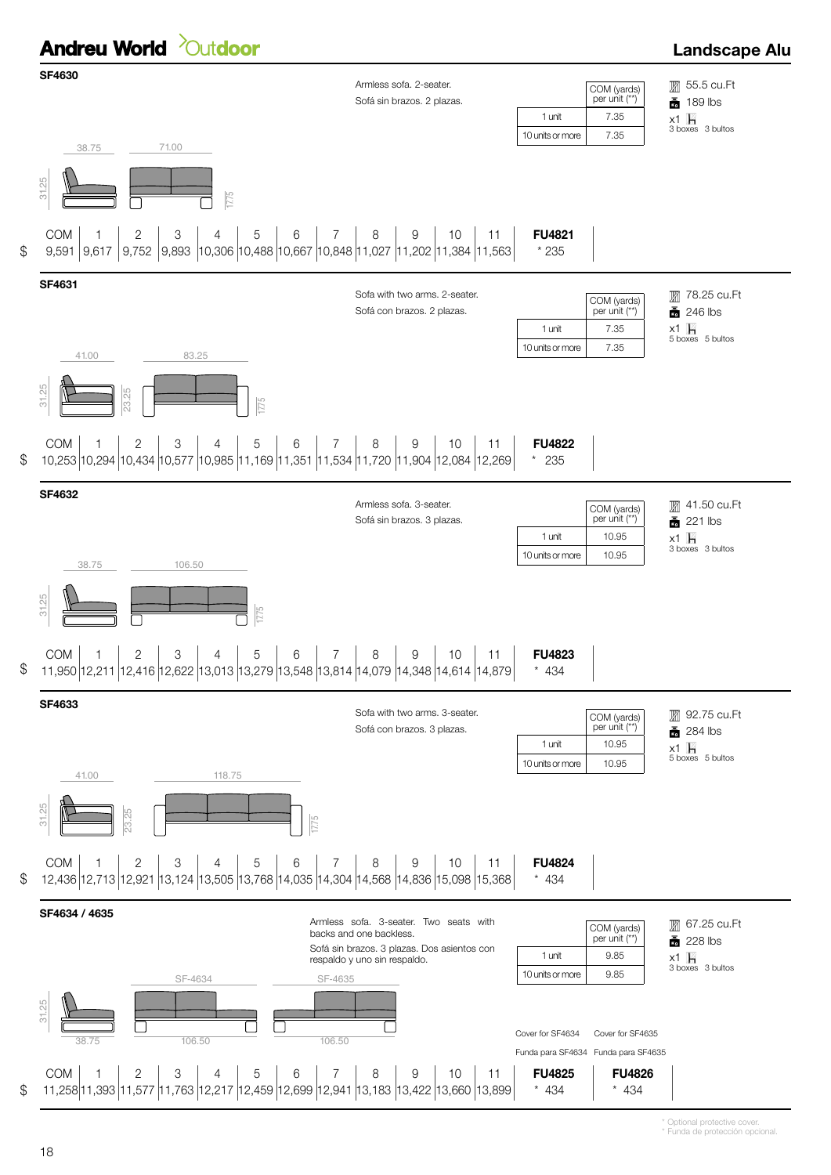

\* Funda de protección opcional. \* Optional protective cover.